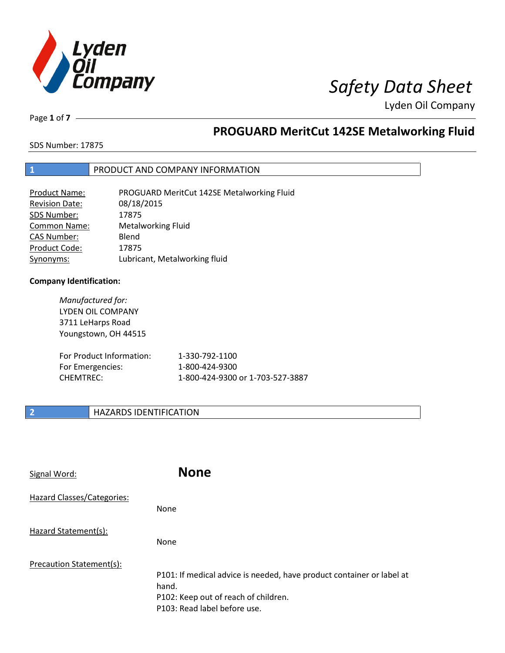

Page **1** of **7**

# **PROGUARD MeritCut 142SE Metalworking Fluid**

SDS Number: 17875

# **1** PRODUCT AND COMPANY INFORMATION

| <b>Product Name:</b>  | PROGUARD MeritCut 142SE Metalworking Fluid |
|-----------------------|--------------------------------------------|
| <b>Revision Date:</b> | 08/18/2015                                 |
| SDS Number:           | 17875                                      |
| <b>Common Name:</b>   | <b>Metalworking Fluid</b>                  |
| <b>CAS Number:</b>    | Blend                                      |
| Product Code:         | 17875                                      |
| Synonyms:             | Lubricant, Metalworking fluid              |

## **Company Identification:**

*Manufactured for:* LYDEN OIL COMPANY 3711 LeHarps Road Youngstown, OH 44515

| For Product Information: | 1-330-792-1100                   |
|--------------------------|----------------------------------|
| For Emergencies:         | 1-800-424-9300                   |
| CHEMTREC:                | 1-800-424-9300 or 1-703-527-3887 |

# **2 HAZARDS IDENTIFICATION**

| Signal Word:               | <b>None</b>                                                                                                                                            |
|----------------------------|--------------------------------------------------------------------------------------------------------------------------------------------------------|
| Hazard Classes/Categories: | <b>None</b>                                                                                                                                            |
| Hazard Statement(s):       | <b>None</b>                                                                                                                                            |
| Precaution Statement(s):   | P101: If medical advice is needed, have product container or label at<br>hand.<br>P102: Keep out of reach of children.<br>P103: Read label before use. |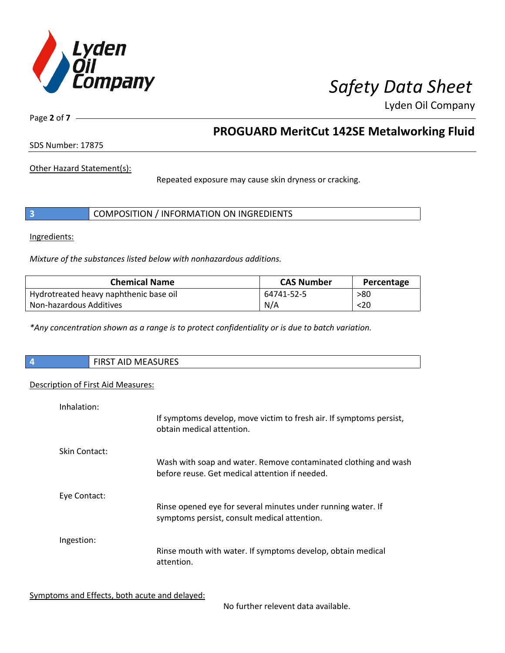

Page **2** of **7**

# **PROGUARD MeritCut 142SE Metalworking Fluid**

SDS Number: 17875

Other Hazard Statement(s):

Repeated exposure may cause skin dryness or cracking.

|  | COMPOSITION / INFORMATION ON INGREDIENTS |
|--|------------------------------------------|
|--|------------------------------------------|

Ingredients:

*Mixture of the substances listed below with nonhazardous additions.*

| <b>Chemical Name</b>                   | <b>CAS Number</b> | Percentage |
|----------------------------------------|-------------------|------------|
| Hydrotreated heavy naphthenic base oil | 64741-52-5        | >80        |
| Non-hazardous Additives                | N/A               | $20$       |

*\*Any concentration shown as a range is to protect confidentiality or is due to batch variation.*

| FIRST AID MEASURES |
|--------------------|
|                    |

## Description of First Aid Measures:

| Inhalation:   | If symptoms develop, move victim to fresh air. If symptoms persist,<br>obtain medical attention.                  |
|---------------|-------------------------------------------------------------------------------------------------------------------|
| Skin Contact: | Wash with soap and water. Remove contaminated clothing and wash<br>before reuse. Get medical attention if needed. |
| Eye Contact:  | Rinse opened eye for several minutes under running water. If<br>symptoms persist, consult medical attention.      |
| Ingestion:    | Rinse mouth with water. If symptoms develop, obtain medical<br>attention.                                         |

Symptoms and Effects, both acute and delayed:

No further relevent data available.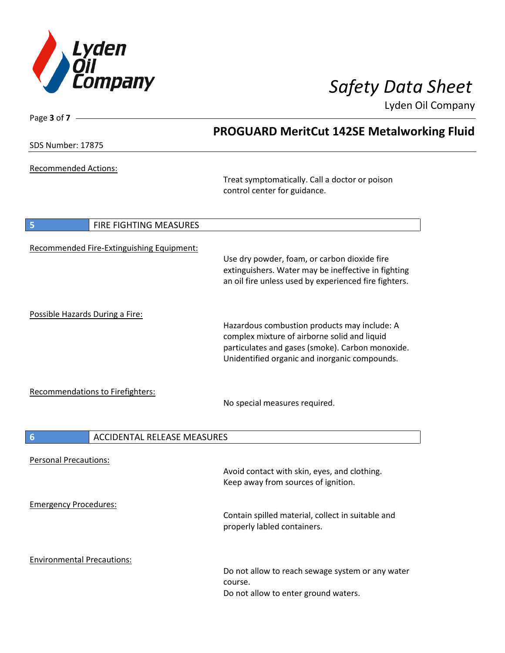

| Page 3 of 7 -                                  |                                                                                                                                                                                                   |
|------------------------------------------------|---------------------------------------------------------------------------------------------------------------------------------------------------------------------------------------------------|
|                                                | <b>PROGUARD MeritCut 142SE Metalworking Fluid</b>                                                                                                                                                 |
| SDS Number: 17875                              |                                                                                                                                                                                                   |
| <b>Recommended Actions:</b>                    | Treat symptomatically. Call a doctor or poison<br>control center for guidance.                                                                                                                    |
|                                                |                                                                                                                                                                                                   |
| 5<br>FIRE FIGHTING MEASURES                    |                                                                                                                                                                                                   |
| Recommended Fire-Extinguishing Equipment:      | Use dry powder, foam, or carbon dioxide fire<br>extinguishers. Water may be ineffective in fighting<br>an oil fire unless used by experienced fire fighters.                                      |
|                                                |                                                                                                                                                                                                   |
| Possible Hazards During a Fire:                | Hazardous combustion products may include: A<br>complex mixture of airborne solid and liquid<br>particulates and gases (smoke). Carbon monoxide.<br>Unidentified organic and inorganic compounds. |
| Recommendations to Firefighters:               | No special measures required.                                                                                                                                                                     |
| ACCIDENTAL RELEASE MEASURES<br>$6\phantom{1}6$ |                                                                                                                                                                                                   |
|                                                |                                                                                                                                                                                                   |
| <b>Personal Precautions:</b>                   | Avoid contact with skin, eyes, and clothing.<br>Keep away from sources of ignition.                                                                                                               |
| <b>Emergency Procedures:</b>                   | Contain spilled material, collect in suitable and<br>properly labled containers.                                                                                                                  |
| <b>Environmental Precautions:</b>              | Do not allow to reach sewage system or any water<br>course.<br>Do not allow to enter ground waters.                                                                                               |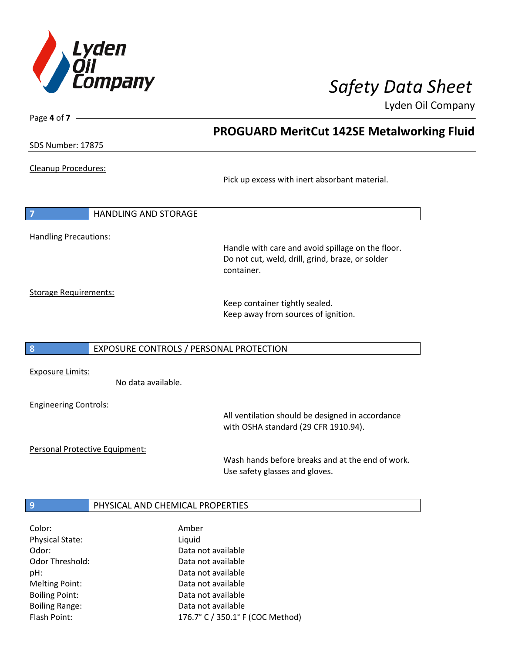

SDS Number: 17875

Page **4** of **7**

Cleanup Procedures:

Pick up excess with inert absorbant material.

**PROGUARD MeritCut 142SE Metalworking Fluid**

**7** HANDLING AND STORAGE Handling Precautions:

> Handle with care and avoid spillage on the floor. Do not cut, weld, drill, grind, braze, or solder container.

Storage Requirements:

Keep container tightly sealed. Keep away from sources of ignition.

**8** EXPOSURE CONTROLS / PERSONAL PROTECTION

Exposure Limits:

No data available.

Engineering Controls:

All ventilation should be designed in accordance with OSHA standard (29 CFR 1910.94).

Personal Protective Equipment:

Wash hands before breaks and at the end of work. Use safety glasses and gloves.

# **9 PHYSICAL AND CHEMICAL PROPERTIES**

| Color:                 | Amber                            |
|------------------------|----------------------------------|
| <b>Physical State:</b> | Liquid                           |
| Odor:                  | Data not available               |
| <b>Odor Threshold:</b> | Data not available               |
| pH:                    | Data not available               |
| <b>Melting Point:</b>  | Data not available               |
| <b>Boiling Point:</b>  | Data not available               |
| <b>Boiling Range:</b>  | Data not available               |
| Flash Point:           | 176.7° C / 350.1° F (COC Method) |
|                        |                                  |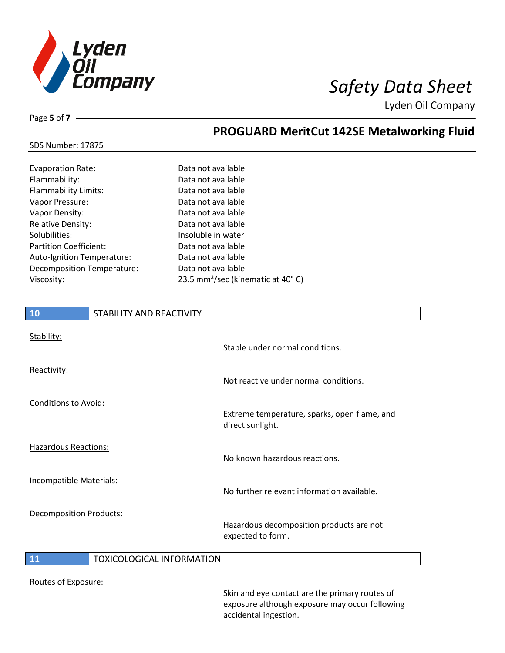

# SDS Number: 17875

Page **5** of **7**

# **PROGUARD MeritCut 142SE Metalworking Fluid**

| <b>Evaporation Rate:</b>      | Data not available                            |
|-------------------------------|-----------------------------------------------|
| Flammability:                 | Data not available                            |
| <b>Flammability Limits:</b>   | Data not available                            |
| Vapor Pressure:               | Data not available                            |
| Vapor Density:                | Data not available                            |
| <b>Relative Density:</b>      | Data not available                            |
| Solubilities:                 | Insoluble in water                            |
| <b>Partition Coefficient:</b> | Data not available                            |
| Auto-Ignition Temperature:    | Data not available                            |
| Decomposition Temperature:    | Data not available                            |
| Viscosity:                    | 23.5 mm <sup>2</sup> /sec (kinematic at 40°C) |

# **10** STABILITY AND REACTIVITY Stability: Stable under normal conditions. Reactivity: Not reactive under normal conditions. Conditions to Avoid: Extreme temperature, sparks, open flame, and direct sunlight. Hazardous Reactions: No known hazardous reactions. Incompatible Materials: No further relevant information available. Decomposition Products: Hazardous decomposition products are not expected to form. **11** TOXICOLOGICAL INFORMATION

### Routes of Exposure:

Skin and eye contact are the primary routes of exposure although exposure may occur following accidental ingestion.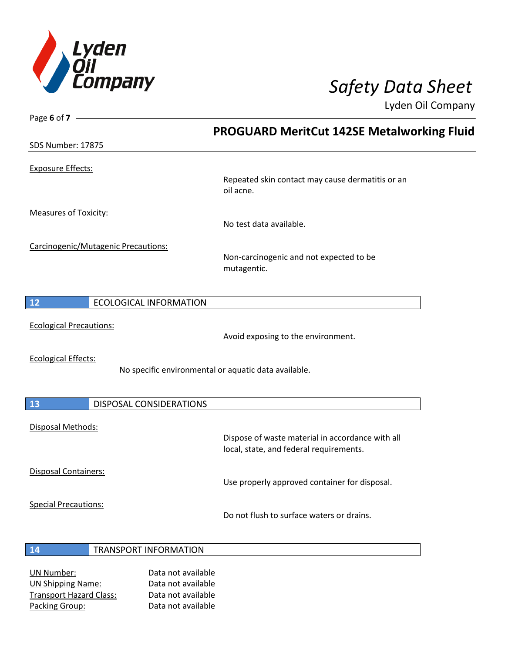

| Page 6 of $7 -$                           |                                                                                             |
|-------------------------------------------|---------------------------------------------------------------------------------------------|
|                                           | PROGUARD MeritCut 142SE Metalworking Fluid                                                  |
| SDS Number: 17875                         |                                                                                             |
| <b>Exposure Effects:</b>                  |                                                                                             |
|                                           | Repeated skin contact may cause dermatitis or an<br>oil acne.                               |
| <b>Measures of Toxicity:</b>              |                                                                                             |
|                                           | No test data available.                                                                     |
| Carcinogenic/Mutagenic Precautions:       | Non-carcinogenic and not expected to be<br>mutagentic.                                      |
| 12<br><b>ECOLOGICAL INFORMATION</b>       |                                                                                             |
| <b>Ecological Precautions:</b>            | Avoid exposing to the environment.                                                          |
| <b>Ecological Effects:</b>                | No specific environmental or aquatic data available.                                        |
| 13<br>DISPOSAL CONSIDERATIONS             |                                                                                             |
| Disposal Methods:                         |                                                                                             |
|                                           | Dispose of waste material in accordance with all<br>local, state, and federal requirements. |
| Disposal Containers:                      | Use properly approved container for disposal.                                               |
| <b>Special Precautions:</b>               | Do not flush to surface waters or drains.                                                   |
| <b>TRANSPORT INFORMATION</b><br><b>14</b> |                                                                                             |
| <b>IIN Number</b>                         | Data not available                                                                          |

UN Number: Data not available UN Shipping Name: Data not available Transport Hazard Class: Data not available Packing Group: Data not available